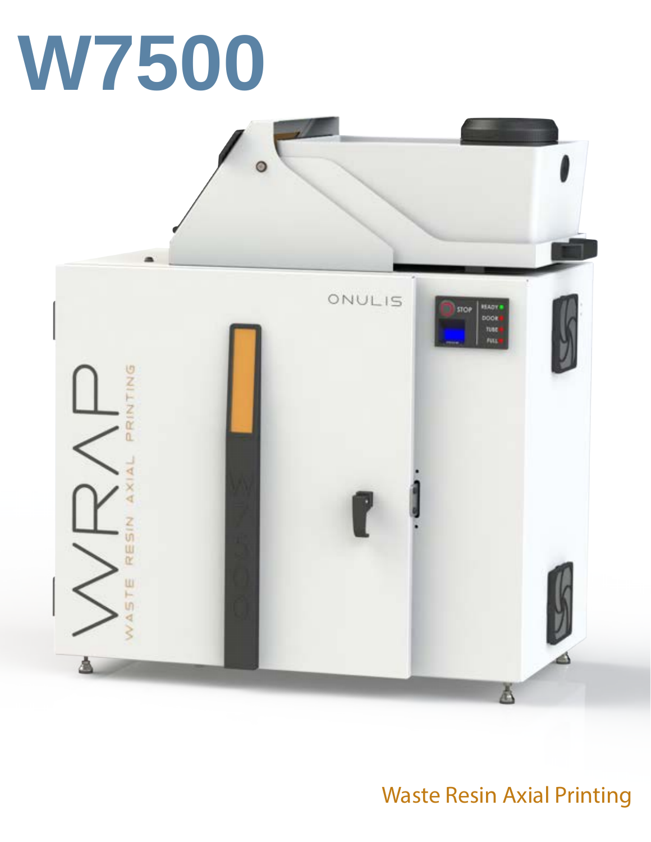



## Waste Resin Axial Printing